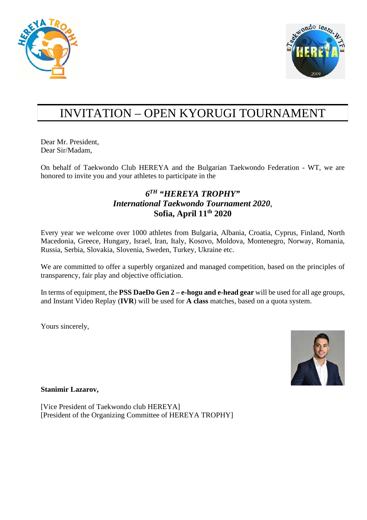



# INVITATION – OPEN KYORUGI TOURNAMENT

Dear Mr. President, Dear Sir/Madam,

On behalf of Taekwondo Club HEREYA and the Bulgarian Taekwondo Federation - WT, we are honored to invite you and your athletes to participate in the

#### *6TH "HEREYA TROPHY" International Taekwondo Tournament 2020,* **Sofia, April 11th 2020**

Every year we welcome over 1000 athletes from Bulgaria, Albania, Croatia, Cyprus, Finland, North Macedonia, Greece, Hungary, Israel, Iran, Italy, Kosovo, Moldova, Montenegro, Norway, Romania, Russia, Serbia, Slovakia, Slovenia, Sweden, Turkey, Ukraine etc.

We are committed to offer a superbly organized and managed competition, based on the principles of transparency, fair play and objective officiation.

In terms of equipment, the **PSS DaeDo Gen 2 – e-hogu and e-head gear** will be used for all age groups, and Instant Video Replay (**IVR**) will be used for **A class** matches, based on a quota system.

Yours sincerely,



**Stanimir Lazarov,** 

[Vice President of Taekwondo club HEREYA] [President of the Organizing Committee of HEREYA TROPHY]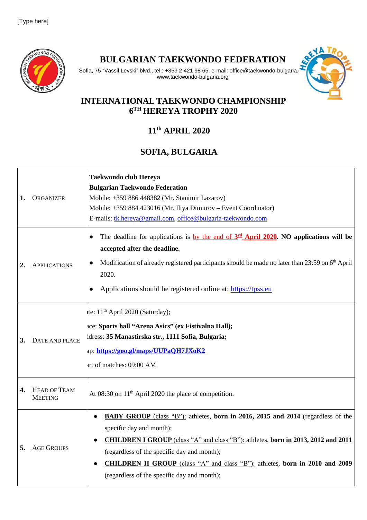

**BULGARIAN TAEKWONDO FEDERATION**



#### Sofia, 75 "Vassil Levski" blvd., tel.: +359 2 421 98 65, e-mail: office@taekwondo-bulgaria. www.taekwondo-bulgaria.org

#### **INTERNATIONAL TAEKWONDO CHAMPIONSHIP 6TH HEREYA TROPHY 2020**

## **11th APRIL 2020**

## **SOFIA, BULGARIA**

| 1. | <b>ORGANIZER</b>                      | <b>Taekwondo club Hereya</b><br><b>Bulgarian Taekwondo Federation</b><br>Mobile: +359 886 448382 (Mr. Stanimir Lazarov)<br>Mobile: +359 884 423016 (Mr. Iliya Dimitrov - Event Coordinator)<br>E-mails: tk.hereya@gmail.com, office@bulgaria-taekwondo.com                                                                                                                                    |
|----|---------------------------------------|-----------------------------------------------------------------------------------------------------------------------------------------------------------------------------------------------------------------------------------------------------------------------------------------------------------------------------------------------------------------------------------------------|
| 2. | <b>APPLICATIONS</b>                   | The deadline for applications is <u>by the end of <math>3rd</math> April 2020</u> . NO applications will be<br>$\bullet$<br>accepted after the deadline.<br>Modification of already registered participants should be made no later than 23:59 on 6 <sup>th</sup> April<br>$\bullet$<br>2020.<br>Applications should be registered online at: https://tpss.eu<br>$\bullet$                    |
| 3. | DATE AND PLACE                        | te: $11th$ April 2020 (Saturday);<br>ace: Sports hall "Arena Asics" (ex Fistivalna Hall);<br>ddress: 35 Manastirska str., 1111 Sofia, Bulgaria;<br>ap: https://goo.gl/maps/UUPaQH7JXoK2<br>art of matches: 09:00 AM                                                                                                                                                                           |
| 4. | <b>HEAD OF TEAM</b><br><b>MEETING</b> | At 08:30 on 11 <sup>th</sup> April 2020 the place of competition.                                                                                                                                                                                                                                                                                                                             |
| 5. | <b>AGE GROUPS</b>                     | BABY GROUP (class "B"): athletes, born in 2016, 2015 and 2014 (regardless of the<br>specific day and month);<br><b>CHILDREN I GROUP</b> (class "A" and class "B"): athletes, born in 2013, 2012 and 2011<br>(regardless of the specific day and month);<br><b>CHILDREN II GROUP</b> (class "A" and class "B"): athletes, born in 2010 and 2009<br>(regardless of the specific day and month); |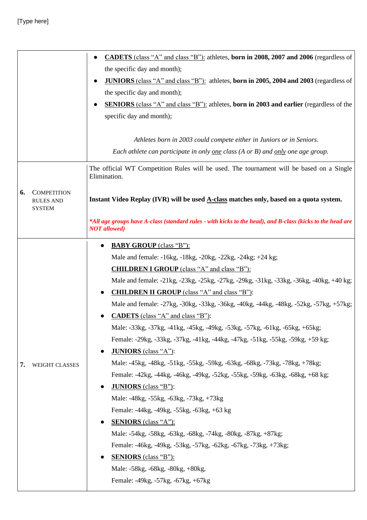#### [Type here]

|    |                                                         | CADETS (class "A" and class "B"): athletes, born in 2008, 2007 and 2006 (regardless of                                            |
|----|---------------------------------------------------------|-----------------------------------------------------------------------------------------------------------------------------------|
|    |                                                         | the specific day and month);                                                                                                      |
|    |                                                         | <b>JUNIORS</b> (class "A" and class "B"): athletes, born in 2005, 2004 and 2003 (regardless of<br>$\bullet$                       |
|    |                                                         | the specific day and month);                                                                                                      |
|    |                                                         | <b>SENIORS</b> (class "A" and class "B"): athletes, born in 2003 and earlier (regardless of the                                   |
|    |                                                         | specific day and month);                                                                                                          |
|    |                                                         |                                                                                                                                   |
|    |                                                         | Athletes born in 2003 could compete either in Juniors or in Seniors.                                                              |
|    |                                                         | Each athlete can participate in only <u>one</u> class $(A \text{ or } B)$ and <u>only</u> one age group.                          |
|    |                                                         | The official WT Competition Rules will be used. The tournament will be based on a Single<br>Elimination.                          |
| 6. | <b>COMPETITION</b><br><b>RULES AND</b><br><b>SYSTEM</b> | Instant Video Replay (IVR) will be used A-class matches only, based on a quota system.                                            |
|    |                                                         | *All age groups have A-class (standard rules - with kicks to the head), and B-class (kicks to the head are<br><b>NOT</b> allowed) |
|    |                                                         | <b>BABY GROUP</b> (class "B"):                                                                                                    |
|    |                                                         | Male and female: -16kg, -18kg, -20kg, -22kg, -24kg; +24 kg;                                                                       |
|    |                                                         | <b>CHILDREN I GROUP</b> (class "A" and class "B"):                                                                                |
|    |                                                         | Male and female: -21kg, -23kg, -25kg, -27kg, -29kg, -31kg, -33kg, -36kg, -40kg, +40 kg;                                           |
|    |                                                         | <b>CHILDREN II GROUP</b> (class "A" and class "B"):                                                                               |
|    |                                                         | Male and female: -27kg, -30kg, -33kg, -36kg, -40kg, -44kg, -48kg, -52kg, -57kg, +57kg;                                            |
|    | <b>WEIGHT CLASSES</b>                                   | <b>CADETS</b> (class "A" and class "B"):                                                                                          |
|    |                                                         | Male: -33kg, -37kg, -41kg, -45kg, -49kg, -53kg, -57kg, -61kg, -65kg, +65kg;                                                       |
|    |                                                         | Female: -29kg, -33kg, -37kg, -41kg, -44kg, -47kg, -51kg, -55kg, -59kg, +59 kg;                                                    |
|    |                                                         | <b>JUNIORS</b> (class "A"):                                                                                                       |
| 7. |                                                         | Male: -45kg, -48kg, -51kg, -55kg, -59kg, -63kg, -68kg, -73kg, -78kg, +78kg;                                                       |
|    |                                                         | Female: -42kg, -44kg, -46kg, -49kg, -52kg, -55kg, -59kg, -63kg, -68kg, +68 kg;                                                    |
|    |                                                         | <b>JUNIORS</b> (class "B"):                                                                                                       |
|    |                                                         | Male: -48kg, -55kg, -63kg, -73kg, +73kg                                                                                           |
|    |                                                         | Female: -44kg, -49kg, -55kg, -63kg, +63 kg                                                                                        |
|    |                                                         | <b>SENIORS</b> (class "A"):                                                                                                       |
|    |                                                         | Male: -54kg, -58kg, -63kg, -68kg, -74kg, -80kg, -87kg, +87kg;                                                                     |
|    |                                                         | Female: -46kg, -49kg, -53kg, -57kg, -62kg, -67kg, -73kg, +73kg;                                                                   |
|    |                                                         | <b>SENIORS</b> (class "B"):                                                                                                       |
|    |                                                         | Male: -58kg, -68kg, -80kg, +80kg,                                                                                                 |
|    |                                                         | Female: -49kg, -57kg, -67kg, +67kg                                                                                                |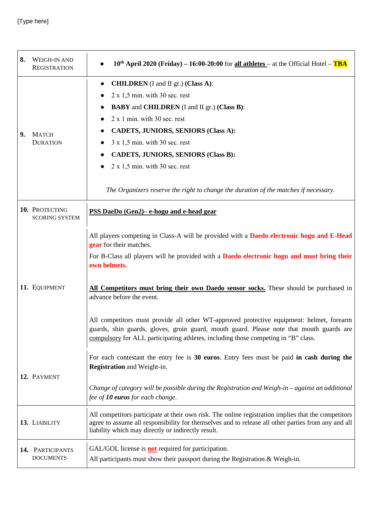| 8. | <b>WEIGH-IN AND</b><br><b>REGISTRATION</b> | $10^{th}$ April 2020 (Friday) – 16:00-20:00 for all athletes – at the Official Hotel – TBA                                                                                                                                                                                                                                                                                                                                                                                                                                                                                                                                                           |
|----|--------------------------------------------|------------------------------------------------------------------------------------------------------------------------------------------------------------------------------------------------------------------------------------------------------------------------------------------------------------------------------------------------------------------------------------------------------------------------------------------------------------------------------------------------------------------------------------------------------------------------------------------------------------------------------------------------------|
| 9. | <b>MATCH</b><br><b>DURATION</b>            | <b>CHILDREN</b> (I and II gr.) (Class A):                                                                                                                                                                                                                                                                                                                                                                                                                                                                                                                                                                                                            |
|    |                                            | $2 \times 1,5$ min. with 30 sec. rest                                                                                                                                                                                                                                                                                                                                                                                                                                                                                                                                                                                                                |
|    |                                            | <b>BABY</b> and <b>CHILDREN</b> (I and II gr.) (Class B):<br>$2 x 1 min.$ with $30 sec.$ rest                                                                                                                                                                                                                                                                                                                                                                                                                                                                                                                                                        |
|    |                                            | <b>CADETS, JUNIORS, SENIORS (Class A):</b>                                                                                                                                                                                                                                                                                                                                                                                                                                                                                                                                                                                                           |
|    |                                            | $3 \times 1,5$ min. with 30 sec. rest                                                                                                                                                                                                                                                                                                                                                                                                                                                                                                                                                                                                                |
|    |                                            | <b>CADETS, JUNIORS, SENIORS (Class B):</b>                                                                                                                                                                                                                                                                                                                                                                                                                                                                                                                                                                                                           |
|    |                                            | $2 \times 1,5$ min. with 30 sec. rest                                                                                                                                                                                                                                                                                                                                                                                                                                                                                                                                                                                                                |
|    |                                            | The Organizers reserve the right to change the duration of the matches if necessary.                                                                                                                                                                                                                                                                                                                                                                                                                                                                                                                                                                 |
|    | 10. PROTECTING<br><b>SCORING SYSTEM</b>    | PSS DaeDo (Gen2) – e-hogu and e-head gear                                                                                                                                                                                                                                                                                                                                                                                                                                                                                                                                                                                                            |
|    | 11. EQUIPMENT                              | All players competing in Class-A will be provided with a <b>Daedo electronic hogu and E-Head</b><br>gear for their matches.<br>For B-Class all players will be provided with a <b>Daedo electronic hogu and must bring their</b><br>own helmets.<br>All Competitors must bring their own Daedo sensor socks. These should be purchased in<br>advance before the event.<br>All competitors must provide all other WT-approved protective equipment: helmet, forearm<br>guards, shin guards, gloves, groin guard, mouth guard. Please note that mouth guards are<br>compulsory for ALL participating athletes, including those competing in "B" class. |
|    | 12. PAYMENT                                | For each contestant the entry fee is 30 euros. Entry fees must be paid in cash during the<br><b>Registration</b> and Weight-in.<br>Change of category will be possible during the Registration and Weigh-in $-$ against an additional<br>fee of 10 euros for each change.                                                                                                                                                                                                                                                                                                                                                                            |
|    | 13. LIABILITY                              | All competitors participate at their own risk. The online registration implies that the competitors<br>agree to assume all responsibility for themselves and to release all other parties from any and all<br>liability which may directly or indirectly result.                                                                                                                                                                                                                                                                                                                                                                                     |
|    | 14. PARTICIPANTS<br><b>DOCUMENTS</b>       | GAL/GOL license is <b>not</b> required for participation.<br>All participants must show their passport during the Registration $&$ Weigh-in.                                                                                                                                                                                                                                                                                                                                                                                                                                                                                                         |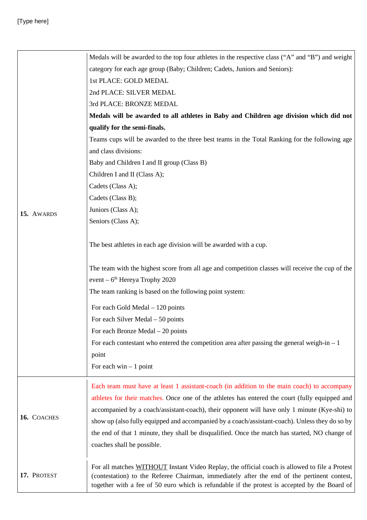|             | Medals will be awarded to the top four athletes in the respective class ("A" and "B") and weight                                                                                                                                                                                              |
|-------------|-----------------------------------------------------------------------------------------------------------------------------------------------------------------------------------------------------------------------------------------------------------------------------------------------|
|             | category for each age group (Baby; Children; Cadets, Juniors and Seniors):                                                                                                                                                                                                                    |
|             | 1st PLACE: GOLD MEDAL                                                                                                                                                                                                                                                                         |
|             | 2nd PLACE: SILVER MEDAL                                                                                                                                                                                                                                                                       |
|             | 3rd PLACE: BRONZE MEDAL                                                                                                                                                                                                                                                                       |
|             | Medals will be awarded to all athletes in Baby and Children age division which did not                                                                                                                                                                                                        |
|             | qualify for the semi-finals.                                                                                                                                                                                                                                                                  |
|             | Teams cups will be awarded to the three best teams in the Total Ranking for the following age                                                                                                                                                                                                 |
|             | and class divisions:                                                                                                                                                                                                                                                                          |
|             | Baby and Children I and II group (Class B)                                                                                                                                                                                                                                                    |
|             | Children I and II (Class A);                                                                                                                                                                                                                                                                  |
|             | Cadets (Class A);                                                                                                                                                                                                                                                                             |
|             | Cadets (Class B);                                                                                                                                                                                                                                                                             |
| 15. AWARDS  | Juniors (Class A);                                                                                                                                                                                                                                                                            |
|             | Seniors (Class A);                                                                                                                                                                                                                                                                            |
|             |                                                                                                                                                                                                                                                                                               |
|             | The best athletes in each age division will be awarded with a cup.                                                                                                                                                                                                                            |
|             | The team with the highest score from all age and competition classes will receive the cup of the<br>event – $6th$ Hereya Trophy 2020                                                                                                                                                          |
|             | The team ranking is based on the following point system:                                                                                                                                                                                                                                      |
|             |                                                                                                                                                                                                                                                                                               |
|             | For each Gold Medal $-120$ points                                                                                                                                                                                                                                                             |
|             | For each Silver Medal $-50$ points                                                                                                                                                                                                                                                            |
|             | For each Bronze Medal - 20 points                                                                                                                                                                                                                                                             |
|             | For each contestant who entered the competition area after passing the general weigh-in $-1$                                                                                                                                                                                                  |
|             | point                                                                                                                                                                                                                                                                                         |
|             | For each win $-1$ point                                                                                                                                                                                                                                                                       |
|             | Each team must have at least 1 assistant-coach (in addition to the main coach) to accompany                                                                                                                                                                                                   |
|             | athletes for their matches. Once one of the athletes has entered the court (fully equipped and                                                                                                                                                                                                |
|             | accompanied by a coach/assistant-coach), their opponent will have only 1 minute (Kye-shi) to                                                                                                                                                                                                  |
| 16. COACHES | show up (also fully equipped and accompanied by a coach/assistant-coach). Unless they do so by                                                                                                                                                                                                |
|             | the end of that 1 minute, they shall be disqualified. Once the match has started, NO change of                                                                                                                                                                                                |
|             | coaches shall be possible.                                                                                                                                                                                                                                                                    |
|             |                                                                                                                                                                                                                                                                                               |
| 17. PROTEST | For all matches WITHOUT Instant Video Replay, the official coach is allowed to file a Protest<br>(contestation) to the Referee Chairman, immediately after the end of the pertinent contest,<br>together with a fee of 50 euro which is refundable if the protest is accepted by the Board of |